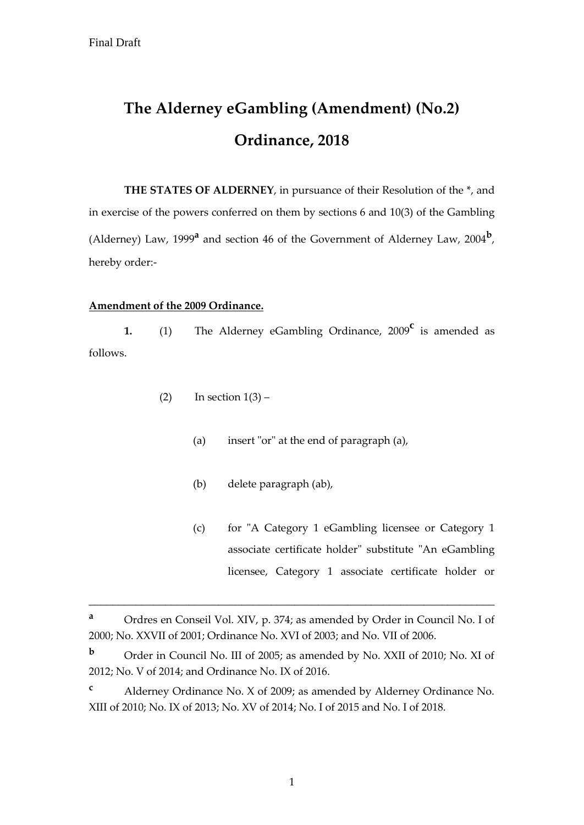# **The Alderney eGambling (Amendment) (No.2) Ordinance, 2018**

**THE STATES OF ALDERNEY**, in pursuance of their Resolution of the \*, and in exercise of the powers conferred on them by sections 6 and 10(3) of the Gambling (Alderney) Law, 1999**<sup>a</sup>** and section 46 of the Government of Alderney Law, 2004**<sup>b</sup>** , hereby order:-

### **Amendment of the 2009 Ordinance.**

**1.** (1) The Alderney eGambling Ordinance, 2009**<sup>c</sup>** is amended as follows.

- (2) In section  $1(3)$ 
	- (a) insert "or" at the end of paragraph (a),
	- (b) delete paragraph (ab),
	- (c) for "A Category 1 eGambling licensee or Category 1 associate certificate holder" substitute "An eGambling licensee, Category 1 associate certificate holder or

\_\_\_\_\_\_\_\_\_\_\_\_\_\_\_\_\_\_\_\_\_\_\_\_\_\_\_\_\_\_\_\_\_\_\_\_\_\_\_\_\_\_\_\_\_\_\_\_\_\_\_\_\_\_\_\_\_\_\_\_\_\_\_\_\_\_\_\_\_

**<sup>a</sup>** Ordres en Conseil Vol. XIV, p. 374; as amended by Order in Council No. I of 2000; No. XXVII of 2001; Ordinance No. XVI of 2003; and No. VII of 2006.

**<sup>b</sup>** Order in Council No. III of 2005; as amended by No. XXII of 2010; No. XI of 2012; No. V of 2014; and Ordinance No. IX of 2016.

**<sup>c</sup>** Alderney Ordinance No. X of 2009; as amended by Alderney Ordinance No. XIII of 2010; No. IX of 2013; No. XV of 2014; No. I of 2015 and No. I of 2018.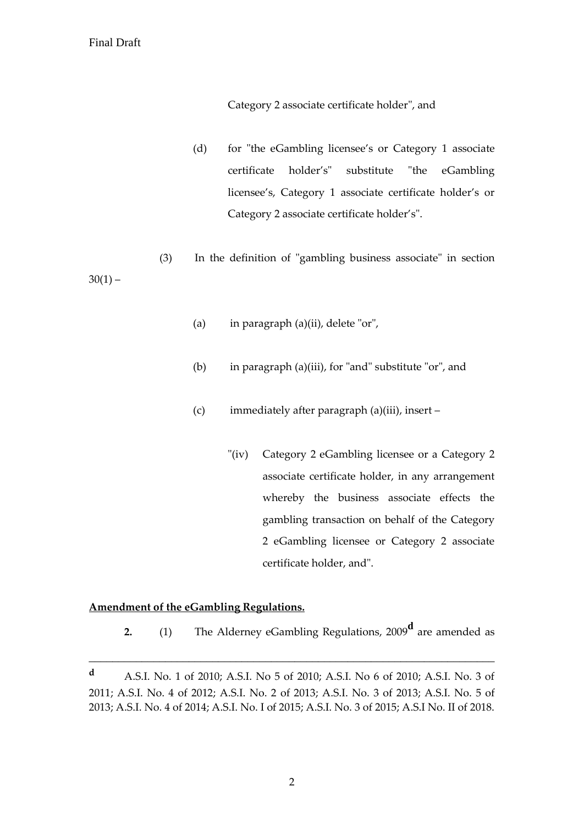Category 2 associate certificate holder", and

(d) for "the eGambling licensee's or Category 1 associate certificate holder's" substitute "the eGambling licensee's, Category 1 associate certificate holder's or Category 2 associate certificate holder's".

(3) In the definition of "gambling business associate" in section  $30(1) -$ 

- (a) in paragraph (a)(ii), delete "or",
- (b) in paragraph (a)(iii), for "and" substitute "or", and
- (c) immediately after paragraph (a)(iii), insert
	- "(iv) Category 2 eGambling licensee or a Category 2 associate certificate holder, in any arrangement whereby the business associate effects the gambling transaction on behalf of the Category 2 eGambling licensee or Category 2 associate certificate holder, and".

### **Amendment of the eGambling Regulations.**

**2.** (1) The Alderney eGambling Regulations, 2009**<sup>d</sup>** are amended as

\_\_\_\_\_\_\_\_\_\_\_\_\_\_\_\_\_\_\_\_\_\_\_\_\_\_\_\_\_\_\_\_\_\_\_\_\_\_\_\_\_\_\_\_\_\_\_\_\_\_\_\_\_\_\_\_\_\_\_\_\_\_\_\_\_\_\_\_\_

**<sup>d</sup>** A.S.I. No. 1 of 2010; A.S.I. No 5 of 2010; A.S.I. No 6 of 2010; A.S.I. No. 3 of 2011; A.S.I. No. 4 of 2012; A.S.I. No. 2 of 2013; A.S.I. No. 3 of 2013; A.S.I. No. 5 of 2013; A.S.I. No. 4 of 2014; A.S.I. No. I of 2015; A.S.I. No. 3 of 2015; A.S.I No. II of 2018.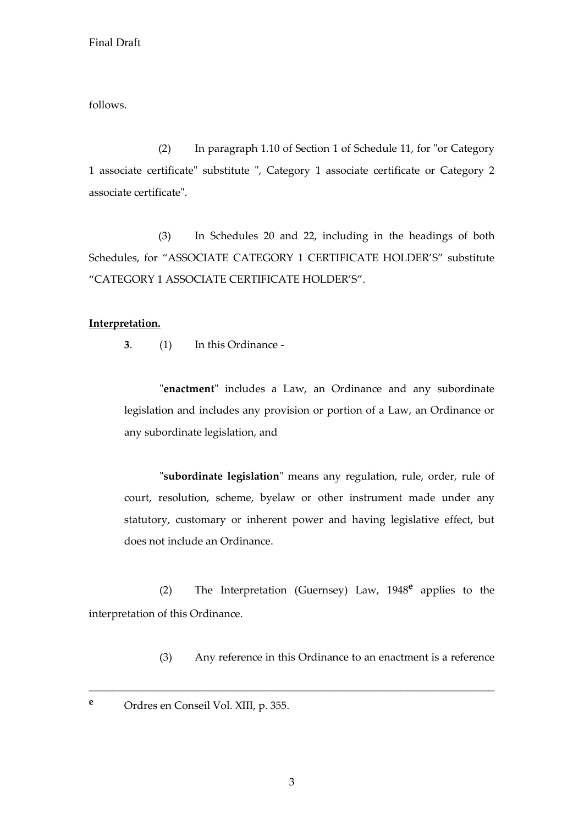follows.

(2) In paragraph 1.10 of Section 1 of Schedule 11, for "or Category 1 associate certificate" substitute ", Category 1 associate certificate or Category 2 associate certificate".

(3) In Schedules 20 and 22, including in the headings of both Schedules, for "ASSOCIATE CATEGORY 1 CERTIFICATE HOLDER'S" substitute "CATEGORY 1 ASSOCIATE CERTIFICATE HOLDER'S".

#### **Interpretation.**

**3**. (1) In this Ordinance -

"**enactment**" includes a Law, an Ordinance and any subordinate legislation and includes any provision or portion of a Law, an Ordinance or any subordinate legislation, and

"**subordinate legislation**" means any regulation, rule, order, rule of court, resolution, scheme, byelaw or other instrument made under any statutory, customary or inherent power and having legislative effect, but does not include an Ordinance.

(2) The Interpretation (Guernsey) Law, 1948**<sup>e</sup>** applies to the interpretation of this Ordinance.

\_\_\_\_\_\_\_\_\_\_\_\_\_\_\_\_\_\_\_\_\_\_\_\_\_\_\_\_\_\_\_\_\_\_\_\_\_\_\_\_\_\_\_\_\_\_\_\_\_\_\_\_\_\_\_\_\_\_\_\_\_\_\_\_\_\_\_\_\_

(3) Any reference in this Ordinance to an enactment is a reference

**<sup>e</sup>** Ordres en Conseil Vol. XIII, p. 355.